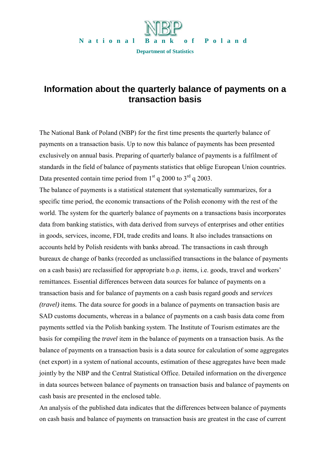

## **Information about the quarterly balance of payments on a transaction basis**

The National Bank of Poland (NBP) for the first time presents the quarterly balance of payments on a transaction basis. Up to now this balance of payments has been presented exclusively on annual basis. Preparing of quarterly balance of payments is a fulfilment of standards in the field of balance of payments statistics that oblige European Union countries. Data presented contain time period from  $1<sup>st</sup>$  q 2000 to  $3<sup>rd</sup>$  q 2003.

The balance of payments is a statistical statement that systematically summarizes, for a specific time period, the economic transactions of the Polish economy with the rest of the world. The system for the quarterly balance of payments on a transactions basis incorporates data from banking statistics, with data derived from surveys of enterprises and other entities in goods, services, income, FDI, trade credits and loans. It also includes transactions on accounts held by Polish residents with banks abroad. The transactions in cash through bureaux de change of banks (recorded as unclassified transactions in the balance of payments on a cash basis) are reclassified for appropriate b.o.p. items, i.e. goods, travel and workers' remittances. Essential differences between data sources for balance of payments on a transaction basis and for balance of payments on a cash basis regard *goods* and *services (travel)* items*.* The data source for *goods* in a balance of payments on transaction basis are SAD customs documents, whereas in a balance of payments on a cash basis data come from payments settled via the Polish banking system. The Institute of Tourism estimates are the basis for compiling the *travel* item in the balance of payments on a transaction basis. As the balance of payments on a transaction basis is a data source for calculation of some aggregates (net export) in a system of national accounts, estimation of these aggregates have been made jointly by the NBP and the Central Statistical Office. Detailed information on the divergence in data sources between balance of payments on transaction basis and balance of payments on cash basis are presented in the enclosed table.

An analysis of the published data indicates that the differences between balance of payments on cash basis and balance of payments on transaction basis are greatest in the case of current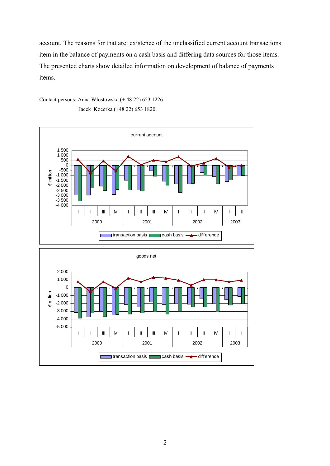account. The reasons for that are: existence of the unclassified current account transactions item in the balance of payments on a cash basis and differing data sources for those items. The presented charts show detailed information on development of balance of payments items.

Contact persons: Anna Włostowska (+ 48 22) 653 1226, Jacek Kocerka (+48 22) 653 1820.



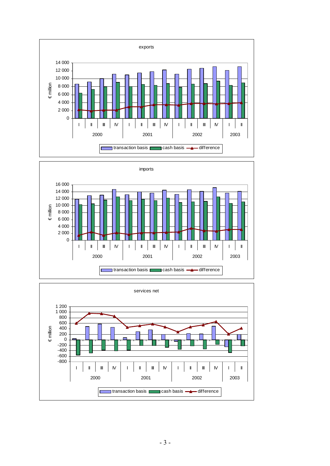



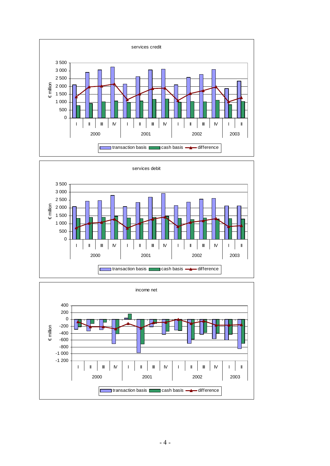



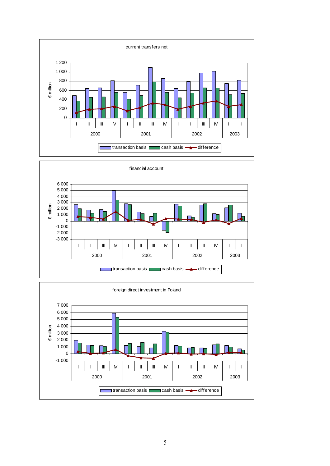



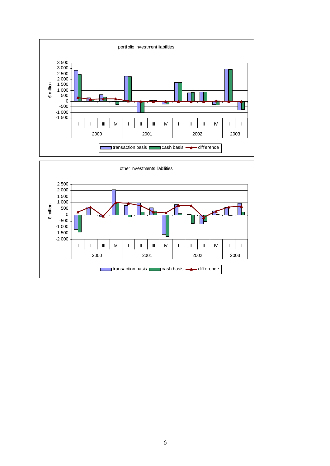

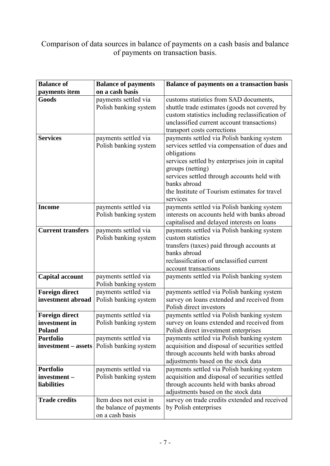## Comparison of data sources in balance of payments on a cash basis and balance of payments on transaction basis.

| <b>Balance of</b>                                       | <b>Balance of payments</b>                                           | Balance of payments on a transaction basis                                                                                                                                                                                                                                                                    |  |  |  |  |  |  |  |
|---------------------------------------------------------|----------------------------------------------------------------------|---------------------------------------------------------------------------------------------------------------------------------------------------------------------------------------------------------------------------------------------------------------------------------------------------------------|--|--|--|--|--|--|--|
| payments item                                           | on a cash basis                                                      |                                                                                                                                                                                                                                                                                                               |  |  |  |  |  |  |  |
| Goods                                                   | payments settled via<br>Polish banking system                        | customs statistics from SAD documents,<br>shuttle trade estimates (goods not covered by<br>custom statistics including reclassification of<br>unclassified current account transactions)<br>transport costs corrections                                                                                       |  |  |  |  |  |  |  |
| <b>Services</b>                                         | payments settled via<br>Polish banking system                        | payments settled via Polish banking system<br>services settled via compensation of dues and<br>obligations<br>services settled by enterprises join in capital<br>groups (netting)<br>services settled through accounts held with<br>banks abroad<br>the Institute of Tourism estimates for travel<br>services |  |  |  |  |  |  |  |
| <b>Income</b>                                           | payments settled via<br>Polish banking system                        | payments settled via Polish banking system<br>interests on accounts held with banks abroad<br>capitalised and delayed interests on loans                                                                                                                                                                      |  |  |  |  |  |  |  |
| <b>Current transfers</b>                                | payments settled via<br>Polish banking system                        | payments settled via Polish banking system<br>custom statistics<br>transfers (taxes) paid through accounts at<br>banks abroad<br>reclassification of unclassified current<br>account transactions                                                                                                             |  |  |  |  |  |  |  |
| <b>Capital account</b>                                  | payments settled via<br>Polish banking system                        | payments settled via Polish banking system                                                                                                                                                                                                                                                                    |  |  |  |  |  |  |  |
| <b>Foreign direct</b><br>investment abroad              | payments settled via<br>Polish banking system                        | payments settled via Polish banking system<br>survey on loans extended and received from<br>Polish direct investors                                                                                                                                                                                           |  |  |  |  |  |  |  |
| <b>Foreign direct</b><br>investment in<br><b>Poland</b> | payments settled via<br>Polish banking system                        | payments settled via Polish banking system<br>survey on loans extended and received from<br>Polish direct investment enterprises                                                                                                                                                                              |  |  |  |  |  |  |  |
| <b>Portfolio</b><br>investment – assets                 | payments settled via<br>Polish banking system                        | payments settled via Polish banking system<br>acquisition and disposal of securities settled<br>through accounts held with banks abroad<br>adjustments based on the stock data                                                                                                                                |  |  |  |  |  |  |  |
| <b>Portfolio</b><br>investment-<br>liabilities          | payments settled via<br>Polish banking system                        | payments settled via Polish banking system<br>acquisition and disposal of securities settled<br>through accounts held with banks abroad<br>adjustments based on the stock data                                                                                                                                |  |  |  |  |  |  |  |
| <b>Trade credits</b>                                    | Item does not exist in<br>the balance of payments<br>on a cash basis | survey on trade credits extended and received<br>by Polish enterprises                                                                                                                                                                                                                                        |  |  |  |  |  |  |  |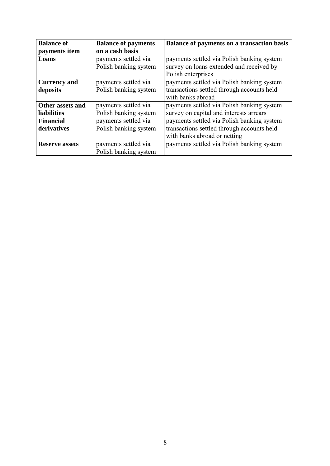| <b>Balance of</b>     | <b>Balance of payments</b> | <b>Balance of payments on a transaction basis</b> |  |  |  |  |  |  |
|-----------------------|----------------------------|---------------------------------------------------|--|--|--|--|--|--|
| payments item         | on a cash basis            |                                                   |  |  |  |  |  |  |
| Loans                 | payments settled via       | payments settled via Polish banking system        |  |  |  |  |  |  |
|                       | Polish banking system      | survey on loans extended and received by          |  |  |  |  |  |  |
|                       |                            | Polish enterprises                                |  |  |  |  |  |  |
| <b>Currency and</b>   | payments settled via       | payments settled via Polish banking system        |  |  |  |  |  |  |
| deposits              | Polish banking system      | transactions settled through accounts held        |  |  |  |  |  |  |
|                       |                            | with banks abroad                                 |  |  |  |  |  |  |
| Other assets and      | payments settled via       | payments settled via Polish banking system        |  |  |  |  |  |  |
| <b>liabilities</b>    | Polish banking system      | survey on capital and interests arrears           |  |  |  |  |  |  |
| <b>Financial</b>      | payments settled via       | payments settled via Polish banking system        |  |  |  |  |  |  |
| derivatives           | Polish banking system      | transactions settled through accounts held        |  |  |  |  |  |  |
|                       |                            | with banks abroad or netting                      |  |  |  |  |  |  |
| <b>Reserve assets</b> | payments settled via       | payments settled via Polish banking system        |  |  |  |  |  |  |
|                       | Polish banking system      |                                                   |  |  |  |  |  |  |